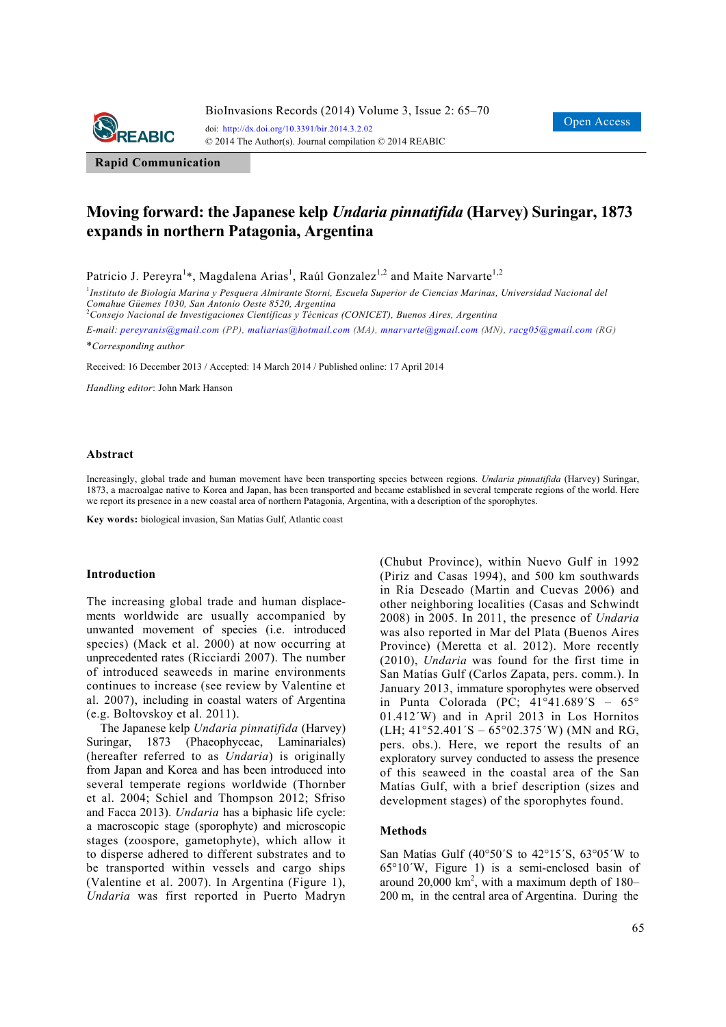

**Rapid Communication**

# **Moving forward: the Japanese kelp** *Undaria pinnatifida* **(Harvey) Suringar, 1873 expands in northern Patagonia, Argentina**

Patricio J. Pereyra<sup>1</sup>\*, Magdalena Arias<sup>1</sup>, Raúl Gonzalez<sup>1,2</sup> and Maite Narvarte<sup>1,2</sup>

<sup>1</sup>Instituto de Biología Marina y Pesquera Almirante Storni, Escuela Superior de Ciencias Marinas, Universidad Nacional del *Comahue Güemes 1030, San Antonio Oeste 8520, Argentina* 

2 *Consejo Nacional de Investigaciones Científicas y Técnicas (CONICET), Buenos Aires, Argentina* 

*E-mail: pereyranis@gmail.com (PP), maliarias@hotmail.com (MA), mnarvarte@gmail.com (MN), racg05@gmail.com (RG)*

\**Corresponding author* 

Received: 16 December 2013 / Accepted: 14 March 2014 / Published online: 17 April 2014

*Handling editor*: John Mark Hanson

#### **Abstract**

Increasingly, global trade and human movement have been transporting species between regions. *Undaria pinnatifida* (Harvey) Suringar, 1873, a macroalgae native to Korea and Japan, has been transported and became established in several temperate regions of the world. Here we report its presence in a new coastal area of northern Patagonia, Argentina, with a description of the sporophytes.

**Key words:** biological invasion, San Matías Gulf, Atlantic coast

#### **Introduction**

The increasing global trade and human displacements worldwide are usually accompanied by unwanted movement of species (i.e. introduced species) (Mack et al. 2000) at now occurring at unprecedented rates (Ricciardi 2007). The number of introduced seaweeds in marine environments continues to increase (see review by Valentine et al. 2007), including in coastal waters of Argentina (e.g. Boltovskoy et al. 2011).

The Japanese kelp *Undaria pinnatifida* (Harvey) Suringar, 1873 (Phaeophyceae, Laminariales) (hereafter referred to as *Undaria*) is originally from Japan and Korea and has been introduced into several temperate regions worldwide (Thornber et al. 2004; Schiel and Thompson 2012; Sfriso and Facca 2013). *Undaria* has a biphasic life cycle: a macroscopic stage (sporophyte) and microscopic stages (zoospore, gametophyte), which allow it to disperse adhered to different substrates and to be transported within vessels and cargo ships (Valentine et al. 2007). In Argentina (Figure 1), *Undaria* was first reported in Puerto Madryn

(Chubut Province), within Nuevo Gulf in 1992 (Piriz and Casas 1994), and 500 km southwards in Ría Deseado (Martin and Cuevas 2006) and other neighboring localities (Casas and Schwindt 2008) in 2005. In 2011, the presence of *Undaria* was also reported in Mar del Plata (Buenos Aires Province) (Meretta et al. 2012). More recently (2010), *Undaria* was found for the first time in San Matías Gulf (Carlos Zapata, pers. comm.). In January 2013, immature sporophytes were observed in Punta Colorada (PC;  $41^{\circ}41.689^{\circ}S - 65^{\circ}$ 01.412´W) and in April 2013 in Los Hornitos  $(LH; 41°52.401'S - 65°02.375'W)$  (MN and RG, pers. obs.). Here, we report the results of an exploratory survey conducted to assess the presence of this seaweed in the coastal area of the San Matías Gulf, with a brief description (sizes and development stages) of the sporophytes found.

#### **Methods**

San Matías Gulf (40 $\degree$ 50´S to 42 $\degree$ 15´S, 63 $\degree$ 05´W to 65°10´W, Figure 1) is a semi-enclosed basin of around  $20,000$  km<sup>2</sup>, with a maximum depth of 180– 200 m, in the central area of Argentina. During the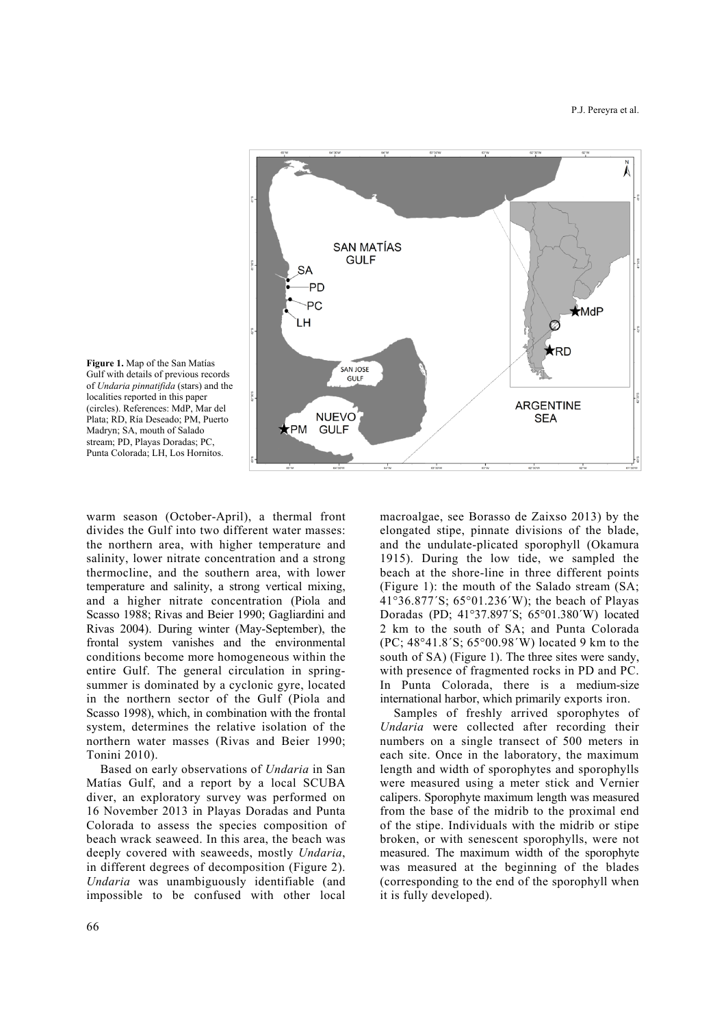



warm season (October-April), a thermal front divides the Gulf into two different water masses: the northern area, with higher temperature and salinity, lower nitrate concentration and a strong thermocline, and the southern area, with lower temperature and salinity, a strong vertical mixing, and a higher nitrate concentration (Piola and Scasso 1988; Rivas and Beier 1990; Gagliardini and Rivas 2004). During winter (May-September), the frontal system vanishes and the environmental conditions become more homogeneous within the entire Gulf. The general circulation in springsummer is dominated by a cyclonic gyre, located in the northern sector of the Gulf (Piola and Scasso 1998), which, in combination with the frontal system, determines the relative isolation of the northern water masses (Rivas and Beier 1990; Tonini 2010).

Based on early observations of *Undaria* in San Matías Gulf, and a report by a local SCUBA diver, an exploratory survey was performed on 16 November 2013 in Playas Doradas and Punta Colorada to assess the species composition of beach wrack seaweed. In this area, the beach was deeply covered with seaweeds, mostly *Undaria*, in different degrees of decomposition (Figure 2). *Undaria* was unambiguously identifiable (and impossible to be confused with other local macroalgae, see Borasso de Zaixso 2013) by the elongated stipe, pinnate divisions of the blade, and the undulate-plicated sporophyll (Okamura 1915). During the low tide, we sampled the beach at the shore-line in three different points (Figure 1): the mouth of the Salado stream (SA; 41°36.877´S; 65°01.236´W); the beach of Playas Doradas (PD; 41°37.897´S; 65°01.380´W) located 2 km to the south of SA; and Punta Colorada (PC; 48°41.8´S; 65°00.98´W) located 9 km to the south of SA) (Figure 1). The three sites were sandy, with presence of fragmented rocks in PD and PC. In Punta Colorada, there is a medium-size international harbor, which primarily exports iron.

Samples of freshly arrived sporophytes of *Undaria* were collected after recording their numbers on a single transect of 500 meters in each site. Once in the laboratory, the maximum length and width of sporophytes and sporophylls were measured using a meter stick and Vernier calipers. Sporophyte maximum length was measured from the base of the midrib to the proximal end of the stipe. Individuals with the midrib or stipe broken, or with senescent sporophylls, were not measured. The maximum width of the sporophyte was measured at the beginning of the blades (corresponding to the end of the sporophyll when it is fully developed).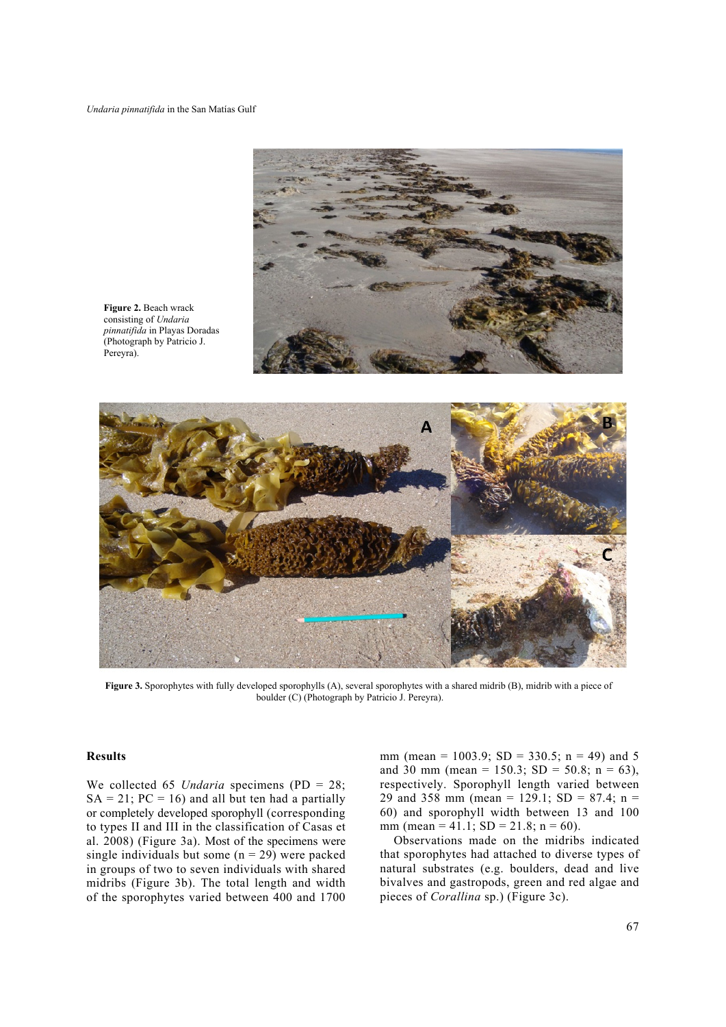

**Figure 2.** Beach wrack consisting of *Undaria pinnatifida* in Playas Doradas (Photograph by Patricio J. Pereyra).



**Figure 3.** Sporophytes with fully developed sporophylls (A), several sporophytes with a shared midrib (B), midrib with a piece of boulder (C) (Photograph by Patricio J. Pereyra).

#### **Results**

We collected 65 *Undaria* specimens (PD = 28;  $SA = 21$ ;  $PC = 16$ ) and all but ten had a partially or completely developed sporophyll (corresponding to types II and III in the classification of Casas et al. 2008) (Figure 3a). Most of the specimens were single individuals but some  $(n = 29)$  were packed in groups of two to seven individuals with shared midribs (Figure 3b). The total length and width of the sporophytes varied between 400 and 1700 mm (mean =  $1003.9$ ; SD =  $330.5$ ; n = 49) and 5 and 30 mm (mean =  $150.3$ ; SD =  $50.8$ ; n = 63), respectively. Sporophyll length varied between 29 and 358 mm (mean = 129.1; SD = 87.4; n = 60) and sporophyll width between 13 and 100 mm (mean = 41.1;  $SD = 21.8$ ; n = 60).

Observations made on the midribs indicated that sporophytes had attached to diverse types of natural substrates (e.g. boulders, dead and live bivalves and gastropods, green and red algae and pieces of *Corallina* sp.) (Figure 3c).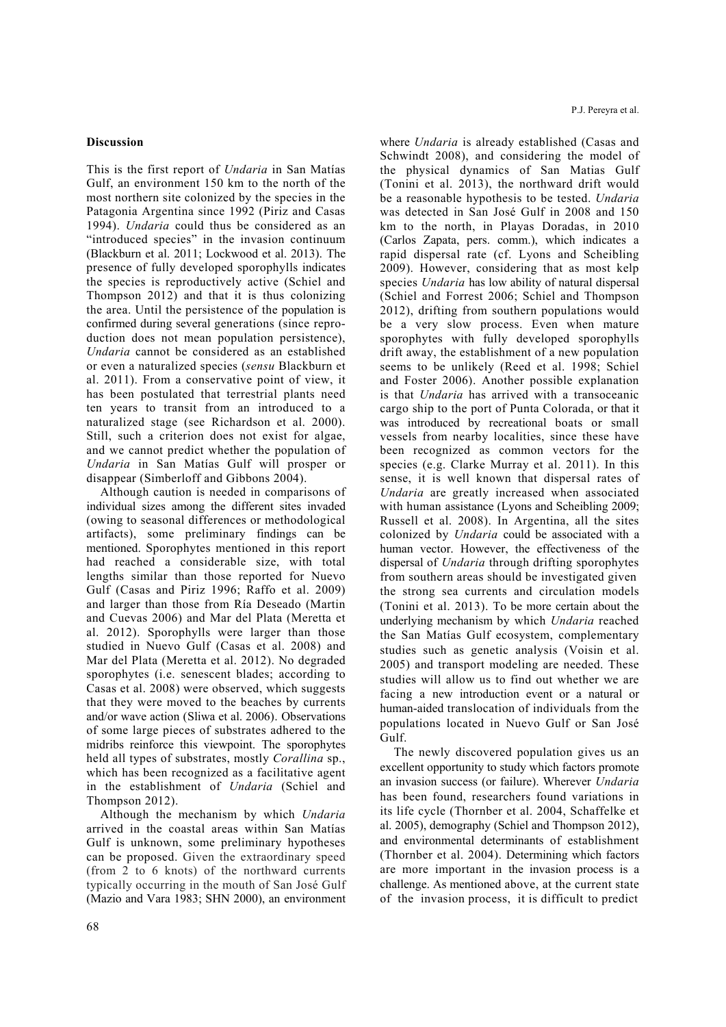## **Discussion**

This is the first report of *Undaria* in San Matías Gulf, an environment 150 km to the north of the most northern site colonized by the species in the Patagonia Argentina since 1992 (Piriz and Casas 1994). *Undaria* could thus be considered as an "introduced species" in the invasion continuum (Blackburn et al. 2011; Lockwood et al. 2013). The presence of fully developed sporophylls indicates the species is reproductively active (Schiel and Thompson 2012) and that it is thus colonizing the area. Until the persistence of the population is confirmed during several generations (since reproduction does not mean population persistence), *Undaria* cannot be considered as an established or even a naturalized species (*sensu* Blackburn et al. 2011). From a conservative point of view, it has been postulated that terrestrial plants need ten years to transit from an introduced to a naturalized stage (see Richardson et al. 2000). Still, such a criterion does not exist for algae, and we cannot predict whether the population of *Undaria* in San Matías Gulf will prosper or disappear (Simberloff and Gibbons 2004).

Although caution is needed in comparisons of individual sizes among the different sites invaded (owing to seasonal differences or methodological artifacts), some preliminary findings can be mentioned. Sporophytes mentioned in this report had reached a considerable size, with total lengths similar than those reported for Nuevo Gulf (Casas and Piriz 1996; Raffo et al. 2009) and larger than those from Ría Deseado (Martin and Cuevas 2006) and Mar del Plata (Meretta et al. 2012). Sporophylls were larger than those studied in Nuevo Gulf (Casas et al. 2008) and Mar del Plata (Meretta et al. 2012). No degraded sporophytes (i.e. senescent blades; according to Casas et al. 2008) were observed, which suggests that they were moved to the beaches by currents and/or wave action (Sliwa et al. 2006). Observations of some large pieces of substrates adhered to the midribs reinforce this viewpoint. The sporophytes held all types of substrates, mostly *Corallina* sp., which has been recognized as a facilitative agent in the establishment of *Undaria* (Schiel and Thompson 2012).

Although the mechanism by which *Undaria* arrived in the coastal areas within San Matías Gulf is unknown, some preliminary hypotheses can be proposed. Given the extraordinary speed (from 2 to 6 knots) of the northward currents typically occurring in the mouth of San José Gulf (Mazio and Vara 1983; SHN 2000), an environment where *Undaria* is already established (Casas and Schwindt 2008), and considering the model of the physical dynamics of San Matias Gulf (Tonini et al. 2013), the northward drift would be a reasonable hypothesis to be tested. *Undaria* was detected in San José Gulf in 2008 and 150 km to the north, in Playas Doradas, in 2010 (Carlos Zapata, pers. comm.), which indicates a rapid dispersal rate (cf. Lyons and Scheibling 2009). However, considering that as most kelp species *Undaria* has low ability of natural dispersal (Schiel and Forrest 2006; Schiel and Thompson 2012), drifting from southern populations would be a very slow process. Even when mature sporophytes with fully developed sporophylls drift away, the establishment of a new population seems to be unlikely (Reed et al. 1998; Schiel and Foster 2006). Another possible explanation is that *Undaria* has arrived with a transoceanic cargo ship to the port of Punta Colorada, or that it was introduced by recreational boats or small vessels from nearby localities, since these have been recognized as common vectors for the species (e.g. Clarke Murray et al. 2011). In this sense, it is well known that dispersal rates of *Undaria* are greatly increased when associated with human assistance (Lyons and Scheibling 2009; Russell et al. 2008). In Argentina, all the sites colonized by *Undaria* could be associated with a human vector. However, the effectiveness of the dispersal of *Undaria* through drifting sporophytes from southern areas should be investigated given the strong sea currents and circulation models (Tonini et al. 2013). To be more certain about the underlying mechanism by which *Undaria* reached the San Matías Gulf ecosystem, complementary studies such as genetic analysis (Voisin et al. 2005) and transport modeling are needed. These studies will allow us to find out whether we are facing a new introduction event or a natural or human-aided translocation of individuals from the populations located in Nuevo Gulf or San José Gulf.

The newly discovered population gives us an excellent opportunity to study which factors promote an invasion success (or failure). Wherever *Undaria* has been found, researchers found variations in its life cycle (Thornber et al. 2004, Schaffelke et al. 2005), demography (Schiel and Thompson 2012), and environmental determinants of establishment (Thornber et al. 2004). Determining which factors are more important in the invasion process is a challenge. As mentioned above, at the current state of the invasion process, it is difficult to predict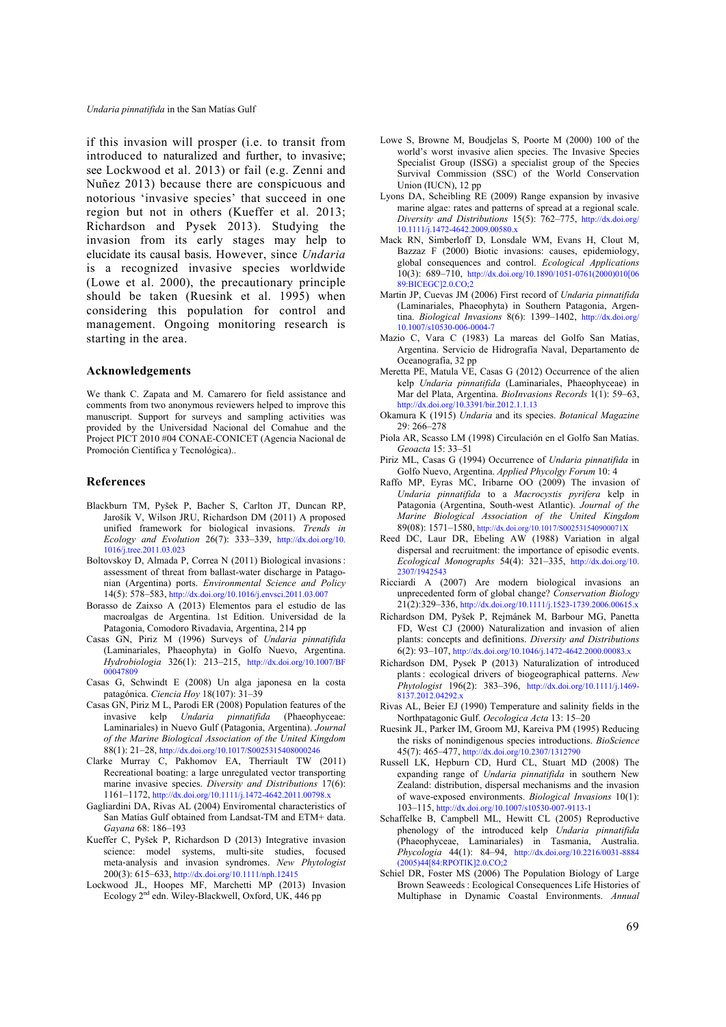if this invasion will prosper (i.e. to transit from introduced to naturalized and further, to invasive; see Lockwood et al. 2013) or fail (e.g. Zenni and Nuñez 2013) because there are conspicuous and notorious 'invasive species' that succeed in one region but not in others (Kueffer et al. 2013; Richardson and Pysek 2013). Studying the invasion from its early stages may help to elucidate its causal basis. However, since *Undaria* is a recognized invasive species worldwide (Lowe et al. 2000), the precautionary principle should be taken (Ruesink et al. 1995) when considering this population for control and management. Ongoing monitoring research is starting in the area.

### **Acknowledgements**

We thank C. Zapata and M. Camarero for field assistance and comments from two anonymous reviewers helped to improve this manuscript. Support for surveys and sampling activities was provided by the Universidad Nacional del Comahue and the Project PICT 2010 #04 CONAE-CONICET (Agencia Nacional de Promoción Científica y Tecnológica)..

## **References**

- Blackburn TM, Pyšek P, Bacher S, Carlton JT, Duncan RP, Jarošík V, Wilson JRU, Richardson DM (2011) A proposed unified framework for biological invasions. *Trends in Ecology and Evolution* 26(7): 333–339, http://dx.doi.org/10. 1016/j.tree.2011.03.023
- Boltovskoy D, Almada P, Correa N (2011) Biological invasions: assessment of threat from ballast-water discharge in Patagonian (Argentina) ports. *Environmental Science and Policy* 14(5): 578–583, http://dx.doi.org/10.1016/j.envsci.2011.03.007
- Borasso de Zaixso A (2013) Elementos para el estudio de las macroalgas de Argentina. 1st Edition. Universidad de la Patagonia, Comodoro Rivadavia, Argentina, 214 pp
- Casas GN, Piriz M (1996) Surveys of *Undaria pinnatifida* (Laminariales, Phaeophyta) in Golfo Nuevo, Argentina. *Hydrobiologia* 326(1): 213–215, http://dx.doi.org/10.1007/BF 00047809
- Casas G, Schwindt E (2008) Un alga japonesa en la costa patagónica. *Ciencia Hoy* 18(107): 31–39
- Casas GN, Piriz M L, Parodi ER (2008) Population features of the invasive kelp *Undaria pinnatifida* (Phaeophyceae: Laminariales) in Nuevo Gulf (Patagonia, Argentina). *Journal of the Marine Biological Association of the United Kingdom* 88(1): 21–28, http://dx.doi.org/10.1017/S0025315408000246
- Clarke Murray C, Pakhomov EA, Therriault TW (2011) Recreational boating: a large unregulated vector transporting marine invasive species. *Diversity and Distributions* 17(6): 1161–1172, http://dx.doi.org/10.1111/j.1472-4642.2011.00798.x
- Gagliardini DA, Rivas AL (2004) Enviromental characteristics of San Matías Gulf obtained from Landsat-TM and ETM+ data. *Gayana* 68: 186–193
- Kueffer C, Pyšek P, Richardson D (2013) Integrative invasion science: model systems, multi‐site studies, focused meta‐analysis and invasion syndromes. *New Phytologist* 200(3): 615–633, http://dx.doi.org/10.1111/nph.12415
- Lockwood JL, Hoopes MF, Marchetti MP (2013) Invasion Ecology 2<sup>nd</sup> edn. Wiley-Blackwell, Oxford, UK, 446 pp
- Lowe S, Browne M, Boudjelas S, Poorte M (2000) 100 of the world's worst invasive alien species. The Invasive Species Specialist Group (ISSG) a specialist group of the Species Survival Commission (SSC) of the World Conservation Union (IUCN), 12 pp
- Lyons DA, Scheibling RE (2009) Range expansion by invasive marine algae: rates and patterns of spread at a regional scale. *Diversity and Distributions* 15(5): 762–775, http://dx.doi.org/ 10.1111/j.1472-4642.2009.00580.x
- Mack RN, Simberloff D, Lonsdale WM, Evans H, Clout M, Bazzaz F (2000) Biotic invasions: causes, epidemiology, global consequences and control. *Ecological Applications*  10(3): 689–710, http://dx.doi.org/10.1890/1051-0761(2000)010[06 89:BICEGC]2.0.CO;2
- Martin JP, Cuevas JM (2006) First record of *Undaria pinnatifida* (Laminariales, Phaeophyta) in Southern Patagonia, Argentina. *Biological Invasions* 8(6): 1399–1402, http://dx.doi.org/ 10.1007/s10530-006-0004-7
- Mazio C, Vara C (1983) La mareas del Golfo San Matías, Argentina. Servicio de Hidrografía Naval, Departamento de Oceanografía, 32 pp
- Meretta PE, Matula VE, Casas G (2012) Occurrence of the alien kelp *Undaria pinnatifida* (Laminariales, Phaeophyceae) in Mar del Plata, Argentina. *BioInvasions Records* 1(1): 59–63, http://dx.doi.org/10.3391/bir.2012.1.1.13
- Okamura K (1915) *Undaria* and its species. *Botanical Magazine* 29: 266–278
- Piola AR, Scasso LM (1998) Circulación en el Golfo San Matías. *Geoacta* 15: 33–51
- Piriz ML, Casas G (1994) Occurrence of *Undaria pinnatifida* in Golfo Nuevo, Argentina. *Applied Phycolgy Forum* 10: 4
- Raffo MP, Eyras MC, Iribarne OO (2009) The invasion of *Undaria pinnatifida* to a *Macrocystis pyrifera* kelp in Patagonia (Argentina, South-west Atlantic). *Journal of the Marine Biological Association of the United Kingdom* 89(08): 1571–1580, http://dx.doi.org/10.1017/S002531540900071X
- Reed DC, Laur DR, Ebeling AW (1988) Variation in algal dispersal and recruitment: the importance of episodic events. *Ecological Monographs* 54(4): 321–335, http://dx.doi.org/10. 2307/1942543
- Ricciardi A (2007) Are modern biological invasions an unprecedented form of global change? *Conservation Biology* 21(2):329–336, http://dx.doi.org/10.1111/j.1523-1739.2006.00615.x
- Richardson DM, Pyšek P, Rejmánek M, Barbour MG, Panetta FD, West CJ (2000) Naturalization and invasion of alien plants: concepts and definitions. *Diversity and Distributions* 6(2): 93–107, http://dx.doi.org/10.1046/j.1472-4642.2000.00083.x
- Richardson DM, Pysek P (2013) Naturalization of introduced plants : ecological drivers of biogeographical patterns. *New Phytologist* 196(2): 383–396, http://dx.doi.org/10.1111/j.1469- 8137.2012.04292.x
- Rivas AL, Beier EJ (1990) Temperature and salinity fields in the Northpatagonic Gulf. *Oecologica Acta* 13: 15–20
- Ruesink JL, Parker IM, Groom MJ, Kareiva PM (1995) Reducing the risks of nonindigenous species introductions. *BioScience* 45(7): 465–477, http://dx.doi.org/10.2307/1312790
- Russell LK, Hepburn CD, Hurd CL, Stuart MD (2008) The expanding range of *Undaria pinnatifida* in southern New Zealand: distribution, dispersal mechanisms and the invasion of wave-exposed environments. *Biological Invasions* 10(1): 103–115, http://dx.doi.org/10.1007/s10530-007-9113-1
- Schaffelke B, Campbell ML, Hewitt CL (2005) Reproductive phenology of the introduced kelp *Undaria pinnatifida* (Phaeophyceae, Laminariales) in Tasmania, Australia. *Phycologia* 44(1): 84–94, http://dx.doi.org/10.2216/0031-8884 (2005)44[84:RPOTIK]2.0.CO;2
- Schiel DR, Foster MS (2006) The Population Biology of Large Brown Seaweeds : Ecological Consequences Life Histories of Multiphase in Dynamic Coastal Environments. *Annual*